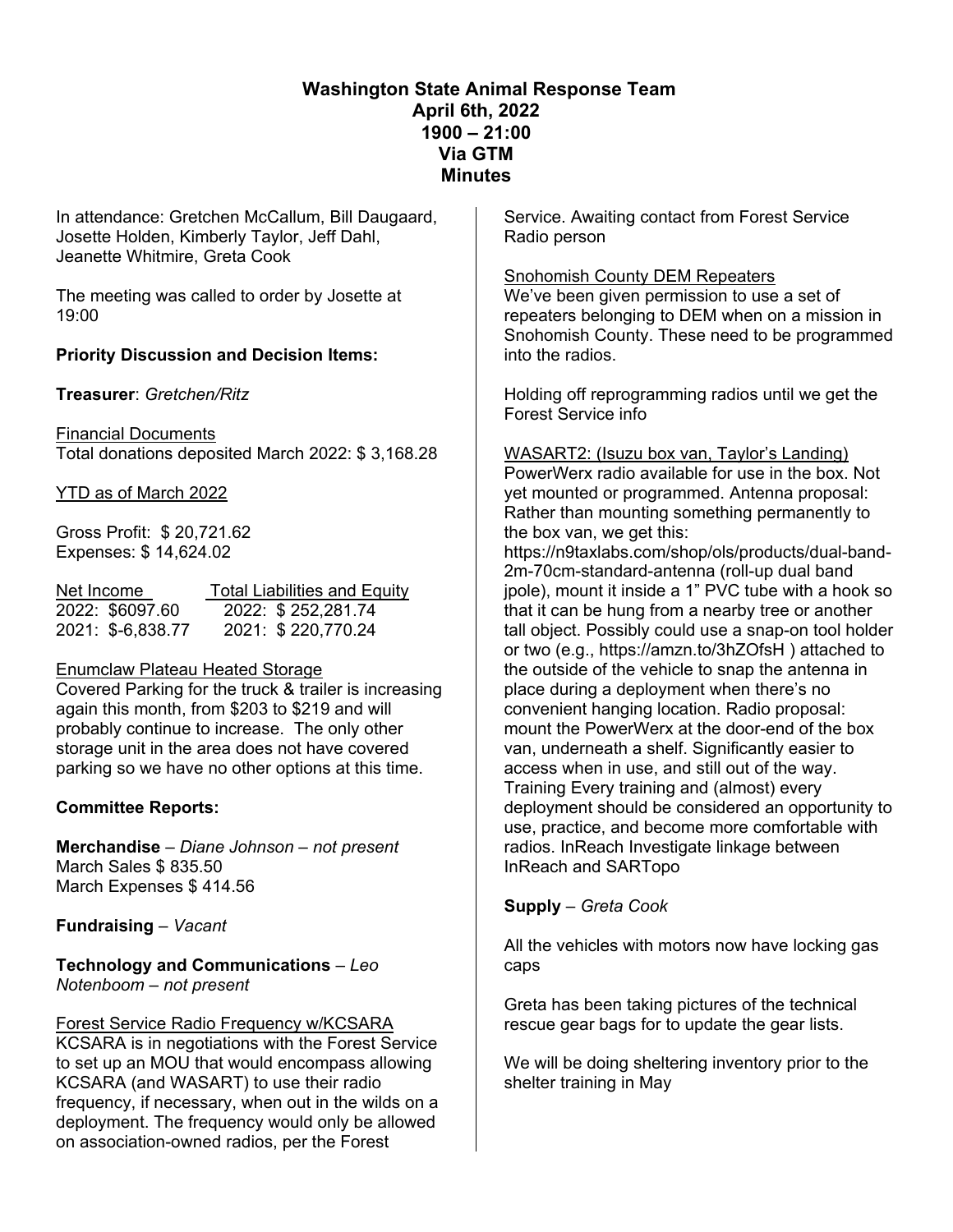# **Washington State Animal Response Team April 6th, 2022 1900 – 21:00 Via GTM Minutes**

In attendance: Gretchen McCallum, Bill Daugaard, Josette Holden, Kimberly Taylor, Jeff Dahl, Jeanette Whitmire, Greta Cook

The meeting was called to order by Josette at 19:00

# **Priority Discussion and Decision Items:**

**Treasurer**: *Gretchen/Ritz*

Financial Documents Total donations deposited March 2022: \$ 3,168.28

### YTD as of March 2022

Gross Profit: \$ 20,721.62 Expenses: \$ 14,624.02

| Net Income        | <b>Total Liabilities and Equity</b> |
|-------------------|-------------------------------------|
| 2022: \$6097.60   | 2022: \$252,281.74                  |
| 2021: \$-6,838.77 | 2021: \$220,770.24                  |

#### Enumclaw Plateau Heated Storage

Covered Parking for the truck & trailer is increasing again this month, from \$203 to \$219 and will probably continue to increase. The only other storage unit in the area does not have covered parking so we have no other options at this time.

### **Committee Reports:**

**Merchandise** – *Diane Johnson – not present* March Sales \$ 835.50 March Expenses \$ 414.56

**Fundraising** – *Vacant*

**Technology and Communications** – *Leo Notenboom – not present*

### Forest Service Radio Frequency w/KCSARA

KCSARA is in negotiations with the Forest Service to set up an MOU that would encompass allowing KCSARA (and WASART) to use their radio frequency, if necessary, when out in the wilds on a deployment. The frequency would only be allowed on association-owned radios, per the Forest

Service. Awaiting contact from Forest Service Radio person

#### Snohomish County DEM Repeaters

We've been given permission to use a set of repeaters belonging to DEM when on a mission in Snohomish County. These need to be programmed into the radios.

Holding off reprogramming radios until we get the Forest Service info

#### WASART2: (Isuzu box van, Taylor's Landing)

PowerWerx radio available for use in the box. Not yet mounted or programmed. Antenna proposal: Rather than mounting something permanently to the box van, we get this:

https://n9taxlabs.com/shop/ols/products/dual-band-2m-70cm-standard-antenna (roll-up dual band jpole), mount it inside a 1" PVC tube with a hook so that it can be hung from a nearby tree or another tall object. Possibly could use a snap-on tool holder or two (e.g., https://amzn.to/3hZOfsH ) attached to the outside of the vehicle to snap the antenna in place during a deployment when there's no convenient hanging location. Radio proposal: mount the PowerWerx at the door-end of the box van, underneath a shelf. Significantly easier to access when in use, and still out of the way. Training Every training and (almost) every deployment should be considered an opportunity to use, practice, and become more comfortable with radios. InReach Investigate linkage between InReach and SARTopo

# **Supply** – *Greta Cook*

All the vehicles with motors now have locking gas caps

Greta has been taking pictures of the technical rescue gear bags for to update the gear lists.

We will be doing sheltering inventory prior to the shelter training in May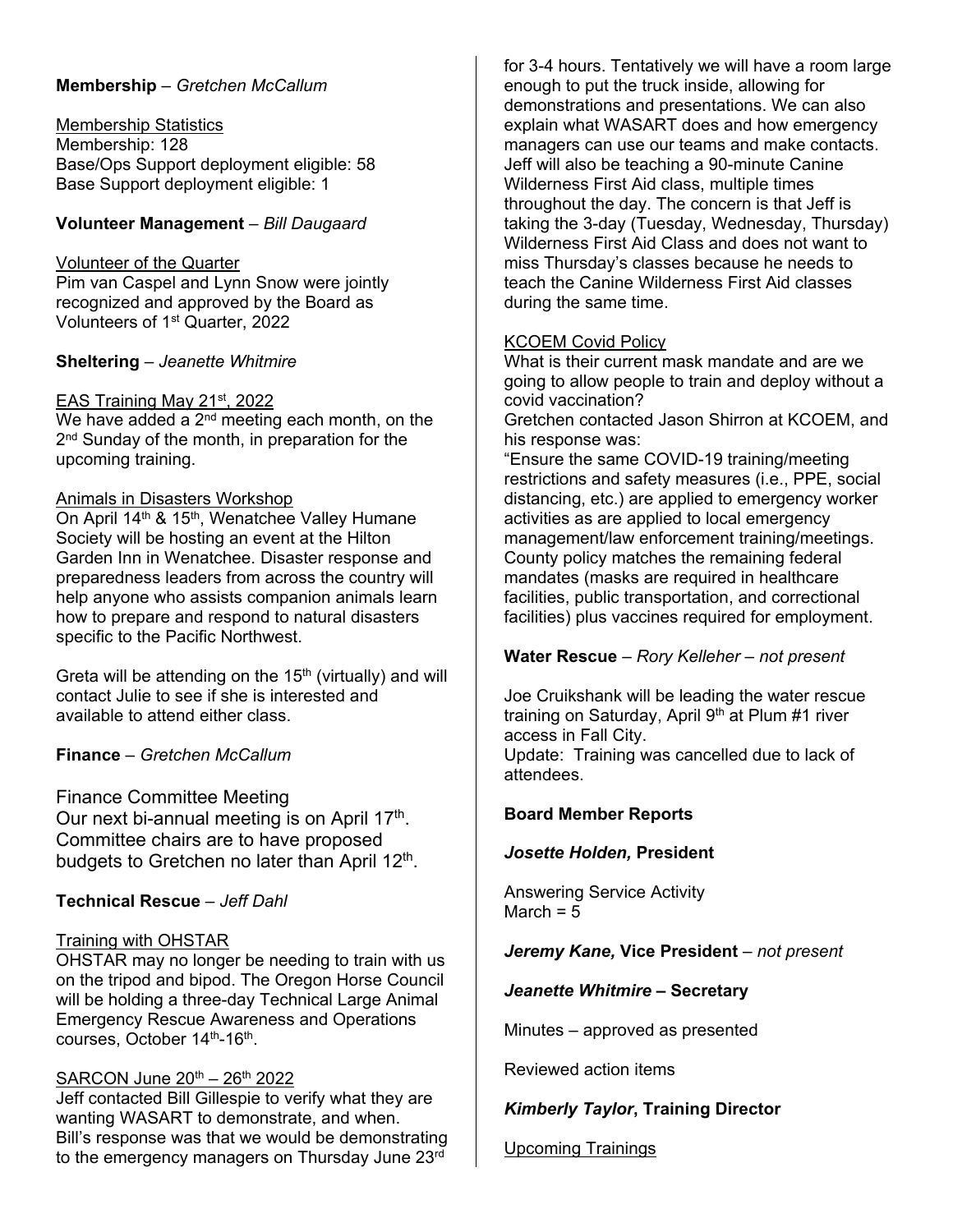### **Membership** – *Gretchen McCallum*

Membership Statistics Membership: 128 Base/Ops Support deployment eligible: 58 Base Support deployment eligible: 1

## **Volunteer Management** – *Bill Daugaard*

#### Volunteer of the Quarter

Pim van Caspel and Lynn Snow were jointly recognized and approved by the Board as Volunteers of 1st Quarter, 2022

### **Sheltering** – *Jeanette Whitmire*

#### EAS Training May 21st, 2022

We have added a  $2^{nd}$  meeting each month, on the 2<sup>nd</sup> Sunday of the month, in preparation for the upcoming training.

#### Animals in Disasters Workshop

On April 14<sup>th</sup> & 15<sup>th</sup>, Wenatchee Valley Humane Society will be hosting an event at the Hilton Garden Inn in Wenatchee. Disaster response and preparedness leaders from across the country will help anyone who assists companion animals learn how to prepare and respond to natural disasters specific to the Pacific Northwest.

Greta will be attending on the  $15<sup>th</sup>$  (virtually) and will contact Julie to see if she is interested and available to attend either class.

**Finance** – *Gretchen McCallum*

Finance Committee Meeting Our next bi-annual meeting is on April  $17<sup>th</sup>$ . Committee chairs are to have proposed budgets to Gretchen no later than April  $12<sup>th</sup>$ .

### **Technical Rescue** – *Jeff Dahl*

### Training with OHSTAR

OHSTAR may no longer be needing to train with us on the tripod and bipod. The Oregon Horse Council will be holding a three-day Technical Large Animal Emergency Rescue Awareness and Operations courses, October 14<sup>th</sup>-16<sup>th</sup>.

### SARCON June 20<sup>th</sup> – 26<sup>th</sup> 2022

Jeff contacted Bill Gillespie to verify what they are wanting WASART to demonstrate, and when. Bill's response was that we would be demonstrating to the emergency managers on Thursday June 23rd

for 3-4 hours. Tentatively we will have a room large enough to put the truck inside, allowing for demonstrations and presentations. We can also explain what WASART does and how emergency managers can use our teams and make contacts. Jeff will also be teaching a 90-minute Canine Wilderness First Aid class, multiple times throughout the day. The concern is that Jeff is taking the 3-day (Tuesday, Wednesday, Thursday) Wilderness First Aid Class and does not want to miss Thursday's classes because he needs to teach the Canine Wilderness First Aid classes during the same time.

### KCOEM Covid Policy

What is their current mask mandate and are we going to allow people to train and deploy without a covid vaccination?

Gretchen contacted Jason Shirron at KCOEM, and his response was:

"Ensure the same COVID-19 training/meeting restrictions and safety measures (i.e., PPE, social distancing, etc.) are applied to emergency worker activities as are applied to local emergency management/law enforcement training/meetings. County policy matches the remaining federal mandates (masks are required in healthcare facilities, public transportation, and correctional facilities) plus vaccines required for employment.

### **Water Rescue** – *Rory Kelleher – not present*

Joe Cruikshank will be leading the water rescue training on Saturday, April 9<sup>th</sup> at Plum #1 river access in Fall City.

Update: Training was cancelled due to lack of attendees.

### **Board Member Reports**

### *Josette Holden,* **President**

Answering Service Activity March  $= 5$ 

### *Jeremy Kane,* **Vice President** *– not present*

#### *Jeanette Whitmire* **– Secretary**

Minutes – approved as presented

Reviewed action items

# *Kimberly Taylor***, Training Director**

Upcoming Trainings